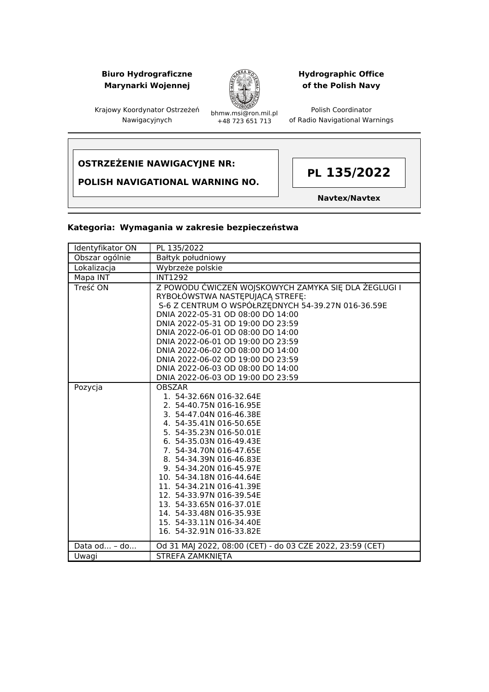## **Biuro Hydrograficzne Marynarki Wojennej**



## **Hydrographic Office of the Polish Navy**

Polish Coordinator of Radio Navigational Warnings

Krajowy Koordynator Ostrzeżeń Nawigacyjnych

bhmw.msi@ron.mil.pl +48 723 651 713

# **OSTRZEŻENIE NAWIGACYJNE NR:**

**POLISH NAVIGATIONAL WARNING NO.**



**Navtex/Navtex**

#### **Kategoria: Wymagania w zakresie bezpieczeństwa**

| Identyfikator ON | PL 135/2022                                                                                                                                                                                                                                                                                                                                                                                                                                                          |
|------------------|----------------------------------------------------------------------------------------------------------------------------------------------------------------------------------------------------------------------------------------------------------------------------------------------------------------------------------------------------------------------------------------------------------------------------------------------------------------------|
| Obszar ogólnie   | Bałtyk południowy                                                                                                                                                                                                                                                                                                                                                                                                                                                    |
| Lokalizacja      | Wybrzeże polskie                                                                                                                                                                                                                                                                                                                                                                                                                                                     |
| Mapa INT         | <b>INT1292</b>                                                                                                                                                                                                                                                                                                                                                                                                                                                       |
| Treść ON         | Z POWODU ĆWICZEŃ WOJSKOWYCH ZAMYKA SIĘ DLA ŻEGLUGI I<br>RYBOŁÓWSTWA NASTĘPUJĄCĄ STREFĘ:<br>S-6 Z CENTRUM O WSPÓŁRZEDNYCH 54-39.27N 016-36.59E<br>DNIA 2022-05-31 OD 08:00 DO 14:00<br>DNIA 2022-05-31 OD 19:00 DO 23:59<br>DNIA 2022-06-01 OD 08:00 DO 14:00<br>DNIA 2022-06-01 OD 19:00 DO 23:59                                                                                                                                                                    |
|                  | DNIA 2022-06-02 OD 08:00 DO 14:00                                                                                                                                                                                                                                                                                                                                                                                                                                    |
|                  | DNIA 2022-06-02 OD 19:00 DO 23:59                                                                                                                                                                                                                                                                                                                                                                                                                                    |
|                  | DNIA 2022-06-03 OD 08:00 DO 14:00                                                                                                                                                                                                                                                                                                                                                                                                                                    |
|                  | DNIA 2022-06-03 OD 19:00 DO 23:59                                                                                                                                                                                                                                                                                                                                                                                                                                    |
| Pozycja          | <b>OBSZAR</b><br>1. 54-32.66N 016-32.64E<br>2. 54-40.75N 016-16.95E<br>3. 54-47.04N 016-46.38E<br>4. 54-35.41N 016-50.65E<br>5. 54-35.23N 016-50.01E<br>6. 54-35.03N 016-49.43E<br>7. 54-34.70N 016-47.65E<br>8. 54-34.39N 016-46.83E<br>9. 54-34.20N 016-45.97E<br>10. 54-34.18N 016-44.64E<br>11. 54-34.21N 016-41.39E<br>12. 54-33.97N 016-39.54E<br>13. 54-33.65N 016-37.01E<br>14. 54-33.48N 016-35.93E<br>15. 54-33.11N 016-34.40E<br>16. 54-32.91N 016-33.82E |
| Data od - do     | Od 31 MAJ 2022, 08:00 (CET) - do 03 CZE 2022, 23:59 (CET)                                                                                                                                                                                                                                                                                                                                                                                                            |
| Uwagi            | <b>STREFA ZAMKNIETA</b>                                                                                                                                                                                                                                                                                                                                                                                                                                              |